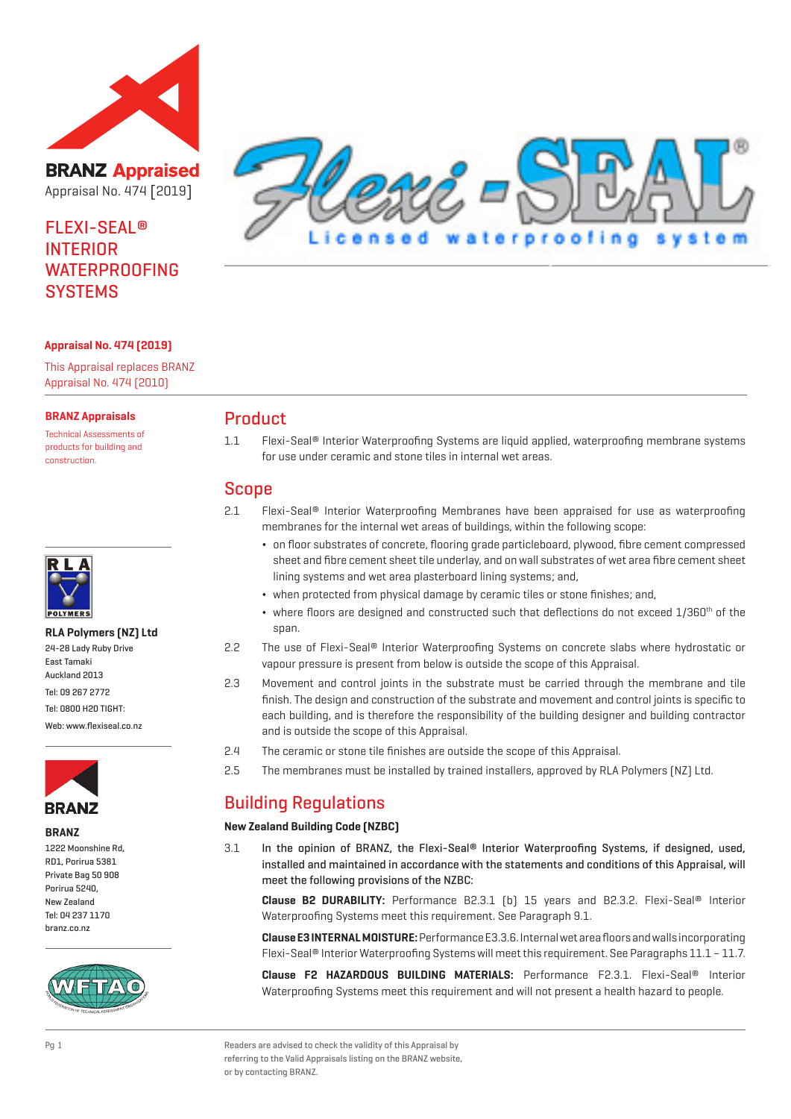

**BRANZ Appraised** Appraisal No. 474 [2019]

# FLEXI-SEAL® INTERIOR WATERPROOFING **SYSTEMS**



### **Appraisal No. 474 (2019)**

This Appraisal replaces BRANZ Appraisal No. 474 (2010)

#### **BRANZ Appraisals**

Technical Assessments of products for building and construction.



#### **RLA Polymers (NZ) Ltd**

| 24-28 Lady Ruby Drive    |  |
|--------------------------|--|
| East Tamaki              |  |
| Auckland 2013            |  |
| Tel: 09 267 2772         |  |
| Tel: 0800 H20 TIGHT:     |  |
| Web: www.flexiseal.co.nz |  |



#### **BRANZ**

1222 Moonshine Rd, RD1, Porirua 5381 Private Bag 50 908 Porirua 5240, New Zealand Tel: 04 237 1170 branz.co.nz



## Product

1.1 Flexi-Seal® Interior Waterproofing Systems are liquid applied, waterproofing membrane systems for use under ceramic and stone tiles in internal wet areas.

## Scope

- 2.1 Flexi-Seal® Interior Waterproofing Membranes have been appraised for use as waterproofing membranes for the internal wet areas of buildings, within the following scope:
	- ¬ on floor substrates of concrete, flooring grade particleboard, plywood, fibre cement compressed sheet and fibre cement sheet tile underlay, and on wall substrates of wet area fibre cement sheet lining systems and wet area plasterboard lining systems; and,
	- ¬ when protected from physical damage by ceramic tiles or stone finishes; and,
	- $\bullet$  where floors are designed and constructed such that deflections do not exceed  $1/360^{\text{th}}$  of the span.
- 2.2 The use of Flexi-Seal® Interior Waterproofing Systems on concrete slabs where hydrostatic or vapour pressure is present from below is outside the scope of this Appraisal.
- 2.3 Movement and control joints in the substrate must be carried through the membrane and tile finish. The design and construction of the substrate and movement and control joints is specific to each building, and is therefore the responsibility of the building designer and building contractor and is outside the scope of this Appraisal.
- 2.4 The ceramic or stone tile finishes are outside the scope of this Appraisal.
- 2.5 The membranes must be installed by trained installers, approved by RLA Polymers (NZ) Ltd.

# Building Regulations

#### **New Zealand Building Code (NZBC)**

3.1 In the opinion of BRANZ, the Flexi-Seal® Interior Waterproofing Systems, if designed, used, installed and maintained in accordance with the statements and conditions of this Appraisal, will meet the following provisions of the NZBC:

**Clause B2 DURABILITY:** Performance B2.3.1 (b) 15 years and B2.3.2. Flexi-Seal® Interior Waterproofing Systems meet this requirement. See Paragraph 9.1.

**Clause E3 INTERNAL MOISTURE:** Performance E3.3.6. Internal wet area floors and walls incorporating Flexi-Seal® Interior Waterproofing Systems will meet this requirement. See Paragraphs 11.1 – 11.7.

**Clause F2 HAZARDOUS BUILDING MATERIALS:** Performance F2.3.1. Flexi-Seal® Interior Waterproofing Systems meet this requirement and will not present a health hazard to people.

Pg 1 Readers are advised to check the validity of this Appraisal by referring to the Valid Appraisals listing on the BRANZ website, or by contacting BRANZ.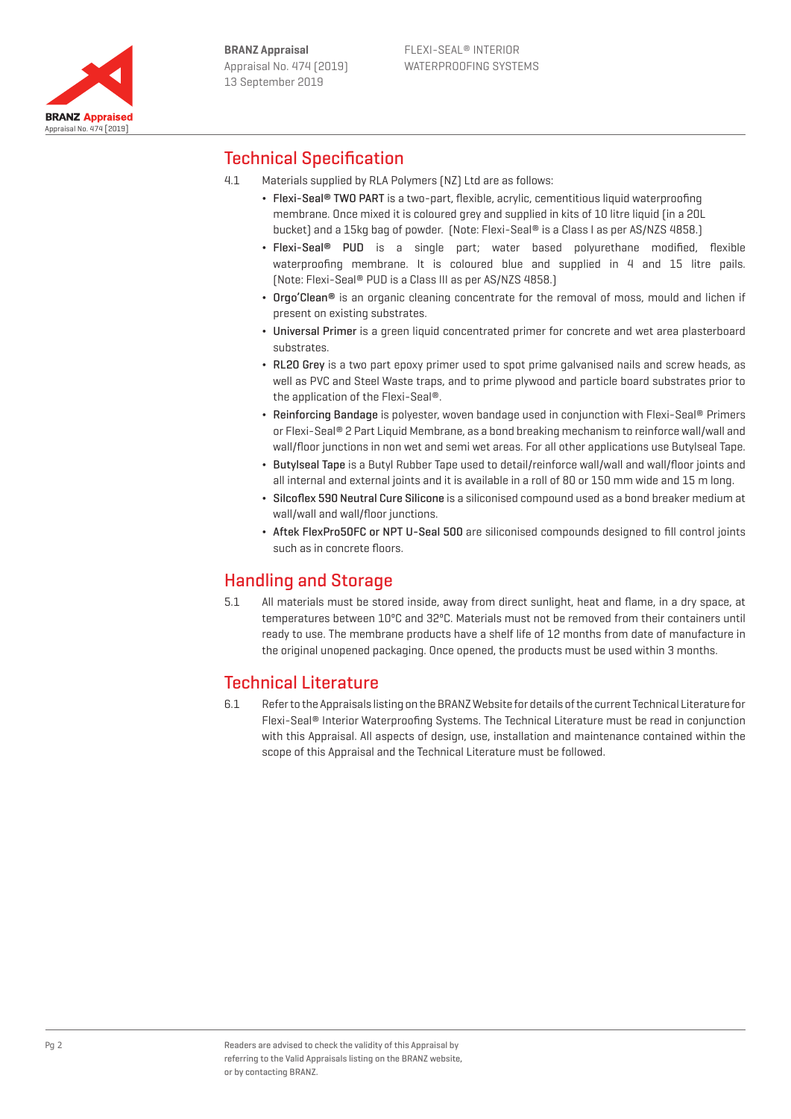

# Technical Specification

- 4.1 Materials supplied by RLA Polymers (NZ) Ltd are as follows:
	- Flexi-Seal® TWO PART is a two-part, flexible, acrylic, cementitious liquid waterproofing membrane. Once mixed it is coloured grey and supplied in kits of 10 litre liquid (in a 20L bucket) and a 15kg bag of powder. (Note: Flexi-Seal® is a Class I as per AS/NZS 4858.)
	- Flexi-Seal<sup>®</sup> PUD is a single part; water based polyurethane modified, flexible waterproofing membrane. It is coloured blue and supplied in 4 and 15 litre pails. (Note: Flexi-Seal® PUD is a Class III as per AS/NZS 4858.)
	- Orgo'Clean<sup>®</sup> is an organic cleaning concentrate for the removal of moss, mould and lichen if present on existing substrates.
	- ¬ Universal Primer is a green liquid concentrated primer for concrete and wet area plasterboard substrates.
	- ¬ RL20 Grey is a two part epoxy primer used to spot prime galvanised nails and screw heads, as well as PVC and Steel Waste traps, and to prime plywood and particle board substrates prior to the application of the Flexi-Seal®.
	- ¬ Reinforcing Bandage is polyester, woven bandage used in conjunction with Flexi-Seal® Primers or Flexi-Seal® 2 Part Liquid Membrane, as a bond breaking mechanism to reinforce wall/wall and wall/floor junctions in non wet and semi wet areas. For all other applications use Butylseal Tape.
	- ¬ Butylseal Tape is a Butyl Rubber Tape used to detail/reinforce wall/wall and wall/floor joints and all internal and external joints and it is available in a roll of 80 or 150 mm wide and 15 m long.
	- ¬ Silcoflex 590 Neutral Cure Silicone is a siliconised compound used as a bond breaker medium at wall/wall and wall/floor junctions.
	- ¬ Aftek FlexPro50FC or NPT U-Seal 500 are siliconised compounds designed to fill control joints such as in concrete floors.

# Handling and Storage

5.1 All materials must be stored inside, away from direct sunlight, heat and flame, in a dry space, at temperatures between 10ºC and 32ºC. Materials must not be removed from their containers until ready to use. The membrane products have a shelf life of 12 months from date of manufacture in the original unopened packaging. Once opened, the products must be used within 3 months.

# Technical Literature

6.1 Refer to the Appraisals listing on the BRANZ Website for details of the current Technical Literature for Flexi-Seal® Interior Waterproofing Systems. The Technical Literature must be read in conjunction with this Appraisal. All aspects of design, use, installation and maintenance contained within the scope of this Appraisal and the Technical Literature must be followed.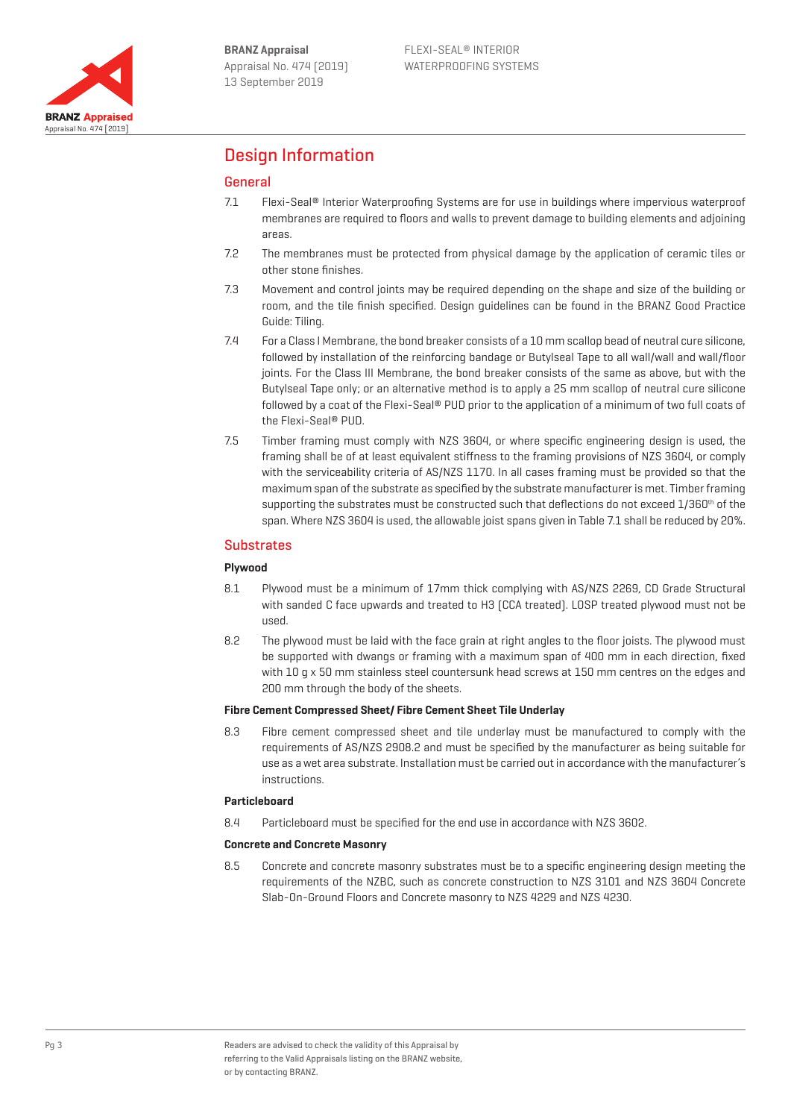

# Design Information

# General

- 7.1 Flexi-Seal® Interior Waterproofing Systems are for use in buildings where impervious waterproof membranes are required to floors and walls to prevent damage to building elements and adjoining areas.
- 7.2 The membranes must be protected from physical damage by the application of ceramic tiles or other stone finishes.
- 7.3 Movement and control joints may be required depending on the shape and size of the building or room, and the tile finish specified. Design guidelines can be found in the BRANZ Good Practice Guide: Tiling.
- 7.4 For a Class I Membrane, the bond breaker consists of a 10 mm scallop bead of neutral cure silicone, followed by installation of the reinforcing bandage or Butylseal Tape to all wall/wall and wall/floor joints. For the Class III Membrane, the bond breaker consists of the same as above, but with the Butylseal Tape only; or an alternative method is to apply a 25 mm scallop of neutral cure silicone followed by a coat of the Flexi-Seal® PUD prior to the application of a minimum of two full coats of the Flexi-Seal® PUD.
- 7.5 Timber framing must comply with NZS 3604, or where specific engineering design is used, the framing shall be of at least equivalent stiffness to the framing provisions of NZS 3604, or comply with the serviceability criteria of AS/NZS 1170. In all cases framing must be provided so that the maximum span of the substrate as specified by the substrate manufacturer is met. Timber framing supporting the substrates must be constructed such that deflections do not exceed 1/360<sup>th</sup> of the span. Where NZS 3604 is used, the allowable joist spans given in Table 7.1 shall be reduced by 20%.

## **Substrates**

### **Plywood**

- 8.1 Plywood must be a minimum of 17mm thick complying with AS/NZS 2269, CD Grade Structural with sanded C face upwards and treated to H3 (CCA treated). LOSP treated plywood must not be used.
- 8.2 The plywood must be laid with the face grain at right angles to the floor joists. The plywood must be supported with dwangs or framing with a maximum span of 400 mm in each direction, fixed with 10 g x 50 mm stainless steel countersunk head screws at 150 mm centres on the edges and 200 mm through the body of the sheets.

### **Fibre Cement Compressed Sheet/ Fibre Cement Sheet Tile Underlay**

8.3 Fibre cement compressed sheet and tile underlay must be manufactured to comply with the requirements of AS/NZS 2908.2 and must be specified by the manufacturer as being suitable for use as a wet area substrate. Installation must be carried out in accordance with the manufacturer's instructions.

#### **Particleboard**

8.4 Particleboard must be specified for the end use in accordance with NZS 3602.

#### **Concrete and Concrete Masonry**

8.5 Concrete and concrete masonry substrates must be to a specific engineering design meeting the requirements of the NZBC, such as concrete construction to NZS 3101 and NZS 3604 Concrete Slab-On-Ground Floors and Concrete masonry to NZS 4229 and NZS 4230.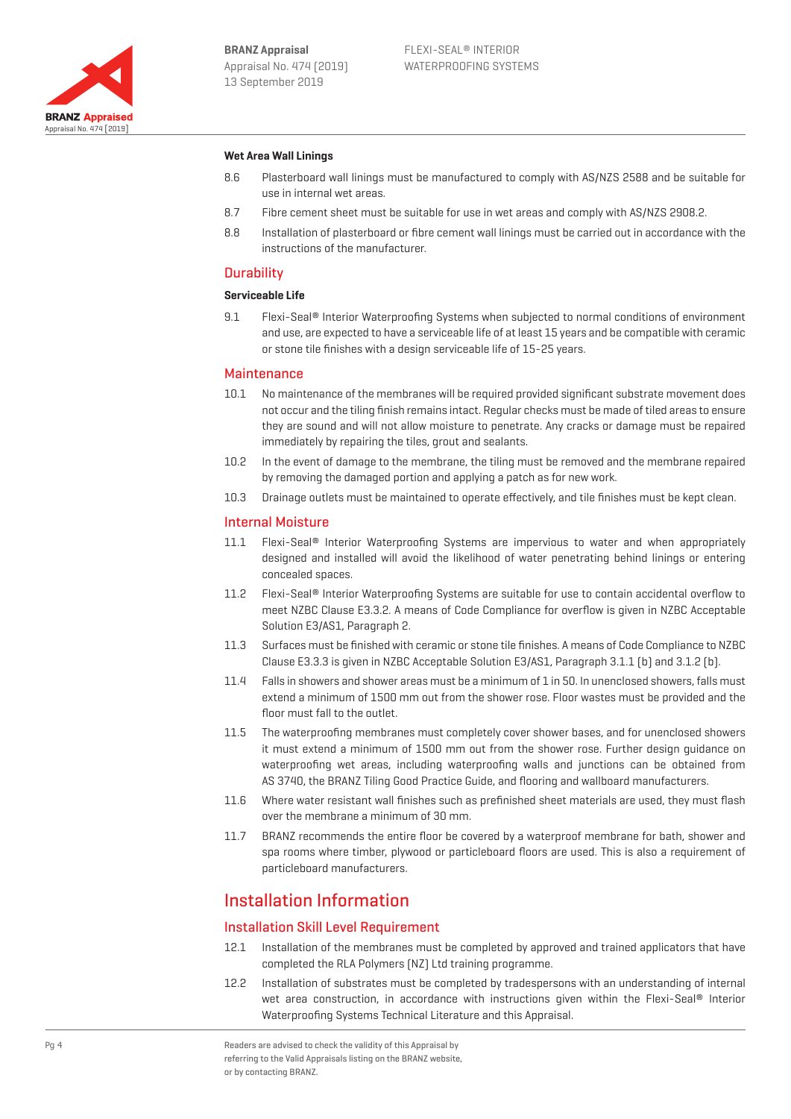

#### **Wet Area Wall Linings**

- 8.6 Plasterboard wall linings must be manufactured to comply with AS/NZS 2588 and be suitable for use in internal wet areas.
- 8.7 Fibre cement sheet must be suitable for use in wet areas and comply with AS/NZS 2908.2.
- 8.8 Installation of plasterboard or fibre cement wall linings must be carried out in accordance with the instructions of the manufacturer.

#### **Durability**

#### **Serviceable Life**

9.1 Flexi-Seal® Interior Waterproofing Systems when subjected to normal conditions of environment and use, are expected to have a serviceable life of at least 15 years and be compatible with ceramic or stone tile finishes with a design serviceable life of 15-25 years.

#### **Maintenance**

- 10.1 No maintenance of the membranes will be required provided significant substrate movement does not occur and the tiling finish remains intact. Regular checks must be made of tiled areas to ensure they are sound and will not allow moisture to penetrate. Any cracks or damage must be repaired immediately by repairing the tiles, grout and sealants.
- 10.2 In the event of damage to the membrane, the tiling must be removed and the membrane repaired by removing the damaged portion and applying a patch as for new work.
- 10.3 Drainage outlets must be maintained to operate effectively, and tile finishes must be kept clean.

#### Internal Moisture

- 11.1 Flexi-Seal<sup>®</sup> Interior Waterproofing Systems are impervious to water and when appropriately designed and installed will avoid the likelihood of water penetrating behind linings or entering concealed spaces.
- 11.2 Flexi-Seal® Interior Waterproofing Systems are suitable for use to contain accidental overflow to meet NZBC Clause E3.3.2. A means of Code Compliance for overflow is given in NZBC Acceptable Solution E3/AS1, Paragraph 2.
- 11.3 Surfaces must be finished with ceramic or stone tile finishes. A means of Code Compliance to NZBC Clause E3.3.3 is given in NZBC Acceptable Solution E3/AS1, Paragraph 3.1.1 (b) and 3.1.2 (b).
- 11.4 Falls in showers and shower areas must be a minimum of 1 in 50. In unenclosed showers, falls must extend a minimum of 1500 mm out from the shower rose. Floor wastes must be provided and the floor must fall to the outlet.
- 11.5 The waterproofing membranes must completely cover shower bases, and for unenclosed showers it must extend a minimum of 1500 mm out from the shower rose. Further design guidance on waterproofing wet areas, including waterproofing walls and junctions can be obtained from AS 3740, the BRANZ Tiling Good Practice Guide, and flooring and wallboard manufacturers.
- 11.6 Where water resistant wall finishes such as prefinished sheet materials are used, they must flash over the membrane a minimum of 30 mm.
- 11.7 BRANZ recommends the entire floor be covered by a waterproof membrane for bath, shower and spa rooms where timber, plywood or particleboard floors are used. This is also a requirement of particleboard manufacturers.

# Installation Information

#### Installation Skill Level Requirement

- 12.1 Installation of the membranes must be completed by approved and trained applicators that have completed the RLA Polymers (NZ) Ltd training programme.
- 12.2 Installation of substrates must be completed by tradespersons with an understanding of internal wet area construction, in accordance with instructions given within the Flexi-Seal® Interior Waterproofing Systems Technical Literature and this Appraisal.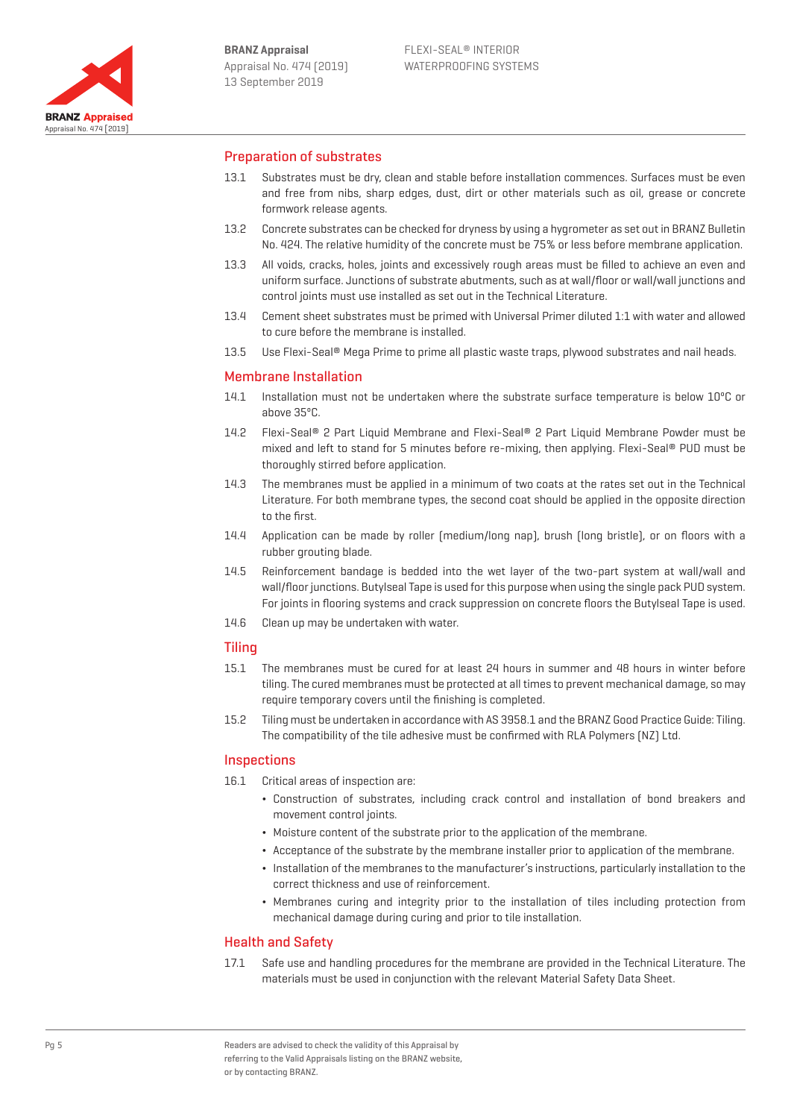

### Preparation of substrates

- 13.1 Substrates must be dry, clean and stable before installation commences. Surfaces must be even and free from nibs, sharp edges, dust, dirt or other materials such as oil, grease or concrete formwork release agents.
- 13.2 Concrete substrates can be checked for dryness by using a hygrometer as set out in BRANZ Bulletin No. 424. The relative humidity of the concrete must be 75% or less before membrane application.
- 13.3 All voids, cracks, holes, joints and excessively rough areas must be filled to achieve an even and uniform surface. Junctions of substrate abutments, such as at wall/floor or wall/wall junctions and control joints must use installed as set out in the Technical Literature.
- 13.4 Cement sheet substrates must be primed with Universal Primer diluted 1:1 with water and allowed to cure before the membrane is installed.
- 13.5 Use Flexi-Seal® Mega Prime to prime all plastic waste traps, plywood substrates and nail heads.

### Membrane Installation

- 14.1 Installation must not be undertaken where the substrate surface temperature is below 10ºC or above 35ºC.
- 14.2 Flexi-Seal® 2 Part Liquid Membrane and Flexi-Seal® 2 Part Liquid Membrane Powder must be mixed and left to stand for 5 minutes before re-mixing, then applying. Flexi-Seal® PUD must be thoroughly stirred before application.
- 14.3 The membranes must be applied in a minimum of two coats at the rates set out in the Technical Literature. For both membrane types, the second coat should be applied in the opposite direction to the first.
- 14.4 Application can be made by roller (medium/long nap), brush (long bristle), or on floors with a rubber grouting blade.
- 14.5 Reinforcement bandage is bedded into the wet layer of the two-part system at wall/wall and wall/floor junctions. Butylseal Tape is used for this purpose when using the single pack PUD system. For joints in flooring systems and crack suppression on concrete floors the Butylseal Tape is used.
- 14.6 Clean up may be undertaken with water.

#### Tiling

- 15.1 The membranes must be cured for at least 24 hours in summer and 48 hours in winter before tiling. The cured membranes must be protected at all times to prevent mechanical damage, so may require temporary covers until the finishing is completed.
- 15.2 Tiling must be undertaken in accordance with AS 3958.1 and the BRANZ Good Practice Guide: Tiling. The compatibility of the tile adhesive must be confirmed with RLA Polymers (NZ) Ltd.

#### **Inspections**

- 16.1 Critical areas of inspection are:
	- ¬ Construction of substrates, including crack control and installation of bond breakers and movement control joints.
	- ¬ Moisture content of the substrate prior to the application of the membrane.
	- ¬ Acceptance of the substrate by the membrane installer prior to application of the membrane.
	- ¬ Installation of the membranes to the manufacturer's instructions, particularly installation to the correct thickness and use of reinforcement.
	- ¬ Membranes curing and integrity prior to the installation of tiles including protection from mechanical damage during curing and prior to tile installation.

#### Health and Safety

17.1 Safe use and handling procedures for the membrane are provided in the Technical Literature. The materials must be used in conjunction with the relevant Material Safety Data Sheet.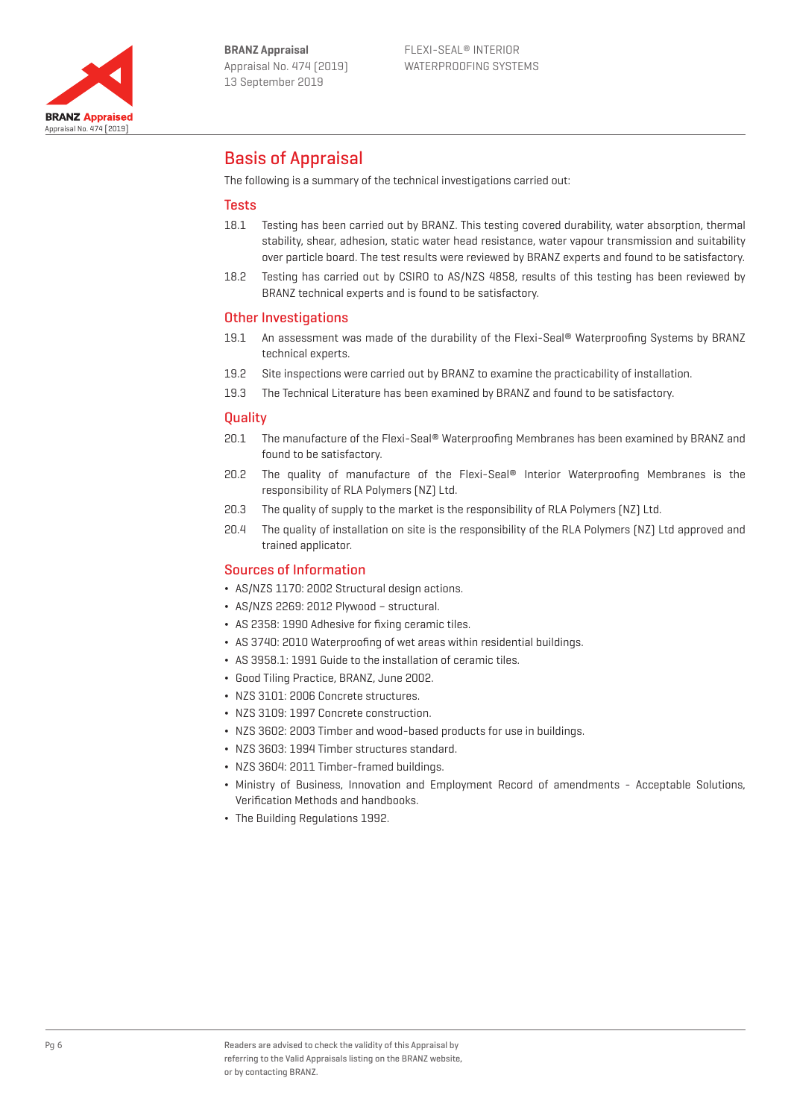

# Basis of Appraisal

The following is a summary of the technical investigations carried out:

### **Tests**

- 18.1 Testing has been carried out by BRANZ. This testing covered durability, water absorption, thermal stability, shear, adhesion, static water head resistance, water vapour transmission and suitability over particle board. The test results were reviewed by BRANZ experts and found to be satisfactory.
- 18.2 Testing has carried out by CSIRO to AS/NZS 4858, results of this testing has been reviewed by BRANZ technical experts and is found to be satisfactory.

## Other Investigations

- 19.1 An assessment was made of the durability of the Flexi-Seal® Waterproofing Systems by BRANZ technical experts.
- 19.2 Site inspections were carried out by BRANZ to examine the practicability of installation.
- 19.3 The Technical Literature has been examined by BRANZ and found to be satisfactory.

### **Quality**

- 20.1 The manufacture of the Flexi-Seal® Waterproofing Membranes has been examined by BRANZ and found to be satisfactory.
- 20.2 The quality of manufacture of the Flexi-Seal® Interior Waterproofing Membranes is the responsibility of RLA Polymers (NZ) Ltd.
- 20.3 The quality of supply to the market is the responsibility of RLA Polymers (NZ) Ltd.
- 20.4 The quality of installation on site is the responsibility of the RLA Polymers (NZ) Ltd approved and trained applicator.

## Sources of Information

- ¬ AS/NZS 1170: 2002 Structural design actions.
- ¬ AS/NZS 2269: 2012 Plywood structural.
- AS 2358: 1990 Adhesive for fixing ceramic tiles.
- ¬ AS 3740: 2010 Waterproofing of wet areas within residential buildings.
- ¬ AS 3958.1: 1991 Guide to the installation of ceramic tiles.
- ¬ Good Tiling Practice, BRANZ, June 2002.
- ¬ NZS 3101: 2006 Concrete structures.
- ¬ NZS 3109: 1997 Concrete construction.
- ¬ NZS 3602: 2003 Timber and wood-based products for use in buildings.
- ¬ NZS 3603: 1994 Timber structures standard.
- ¬ NZS 3604: 2011 Timber-framed buildings.
- ¬ Ministry of Business, Innovation and Employment Record of amendments Acceptable Solutions, Verification Methods and handbooks.
- ¬ The Building Regulations 1992.